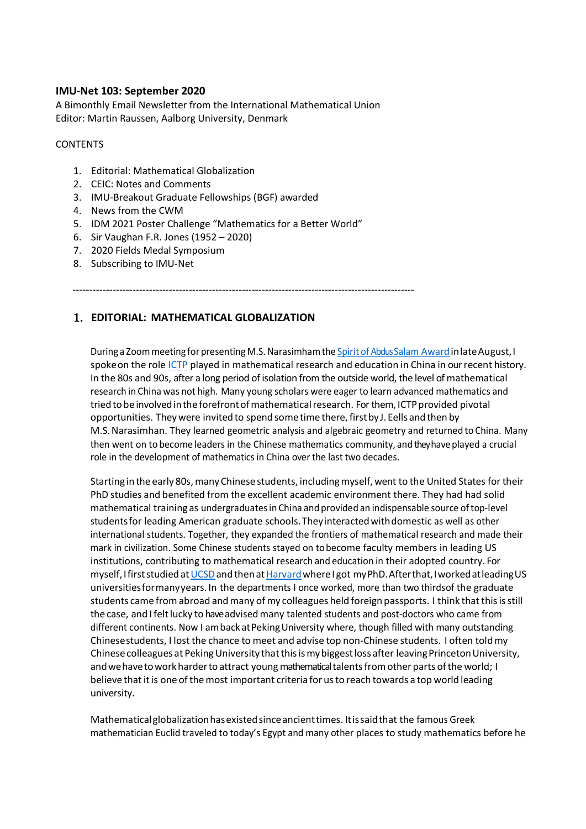#### **IMU-Net 103: September 2020**

A Bimonthly Email Newsletter from the International Mathematical Union Editor: Martin Raussen, Aalborg University, Denmark

#### **CONTENTS**

- 1. Editorial: Mathematical Globalization
- 2. CEIC: Notes and Comments
- 3. IMU-Breakout Graduate Fellowships (BGF) awarded
- 4. News from the CWM
- 5. IDM 2021 Poster Challenge "Mathematics for a Better World"
- 6. Sir Vaughan F.R. Jones (1952 2020)
- 7. 2020 Fields Medal Symposium
- 8. Subscribing to IMU-Net

-------------------------------------------------------------------------------------------------------

## 1. **EDITORIAL: MATHEMATICAL GLOBALIZATION**

During a Zoom meeting for presenting M.S. Narasimham the Spirit of [Abdus Salam](https://www.ictp.it/about-ictp/prizes-awards/spirit-of-abdus-salam-award.aspx) Award in late August, I spoke on the role [ICTP](https://www.ictp.it/) played in mathematical research and education in China in our recent history. In the 80s and 90s, after a long period of isolation from the outside world, the level of mathematical research in China was not high. Many young scholars were eager to learn advanced mathematics and tried to be involved in the forefront of mathematical research. For them, ICTP provided pivotal opportunities. They were invited to spend some time there, first by J. Eells and then by M.S.Narasimhan. They learned geometric analysis and algebraic geometry and returned to China. Many then went on to become leaders in the Chinese mathematics community, and they have played a crucial role in the development of mathematics in China over the last two decades.

Starting in the early 80s, many Chinese students, including myself, went to the United States for their PhD studies and benefited from the excellent academic environment there. They had had solid mathematical training as undergraduatesin China and provided an indispensable source oftop-level studentsfor leading American graduate schools.Theyinteractedwithdomestic as well as other international students. Together, they expanded the frontiers of mathematical research and made their mark in civilization. Some Chinese students stayed on tobecome faculty members in leading US institutions, contributing to mathematical research and education in their adopted country. For myself, I first studied at UCSD and then at Harvard where I got my PhD. After that, I worked at leading US universitiesformanyyears. In the departments I once worked, more than two thirdsof the graduate students came from abroad and many of my colleagues held foreign passports. I think that this is still the case, and Ifeltlucky to have advisedmany talented students and post-doctors who came from different continents. Now I am back at Peking University where, though filled with many outstanding Chinesestudents, I lost the chance to meet and advise top non-Chinese students. I often toldmy Chinese colleagues at Peking University that this is my biggest loss after leaving Princeton University, and we have to work harder to attract young mathematical talents from other parts of the world; I believe that it is one of the most important criteria for us to reach towards a top world leading university.

Mathematicalglobalizationhasexistedsinceancienttimes. Itissaidthat the famous Greek mathematician Euclid traveled to today's Egypt and many other places to study mathematics before he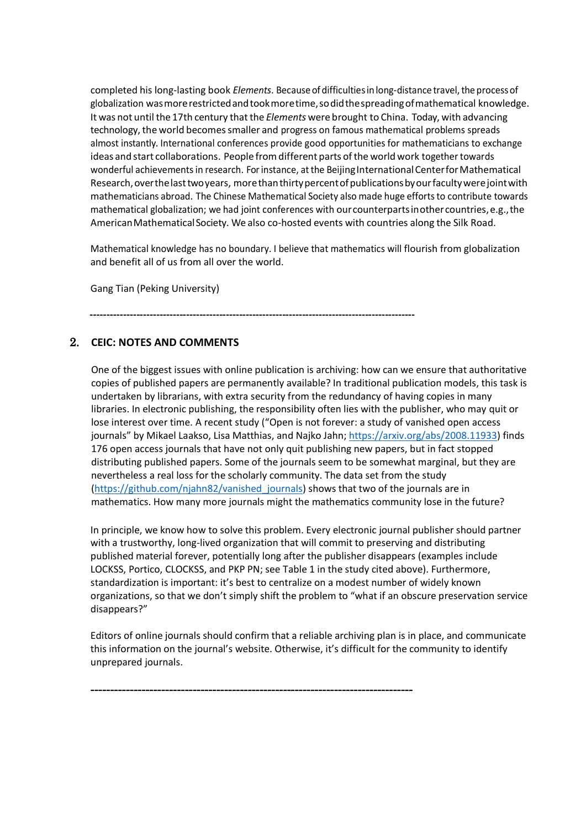completed his long-lasting book *Elements*. Because of difficulties in long-distance travel, the process of globalization wasmorerestrictedandtookmoretime,sodidthespreadingofmathematical knowledge. It was not until the 17th century that the *Elements* were brought to China. Today, with advancing technology, the world becomes smaller and progress on famous mathematical problems spreads almost instantly. International conferences provide good opportunities for mathematicians to exchange ideas and start collaborations. People from different parts of the world work together towards wonderful achievements in research. For instance, at the Beijing International Center for Mathematical Research, over the last two years, more than thirty percent of publications by our faculty were joint with mathematicians abroad. The Chinese Mathematical Society also made huge effortsto contribute towards mathematical globalization; we had joint conferences with ourcounterpartsinothercountries,e.g.,the AmericanMathematicalSociety. We also co-hosted events with countries along the Silk Road.

Mathematical knowledge has no boundary. I believe that mathematics will flourish from globalization and benefit all of us from all over the world.

Gang Tian (Peking University)

**--------------------------------------------------------------------------------------------------**

### 2. **CEIC: NOTES AND COMMENTS**

One of the biggest issues with online publication is archiving: how can we ensure that authoritative copies of published papers are permanently available? In traditional publication models, this task is undertaken by librarians, with extra security from the redundancy of having copies in many libraries. In electronic publishing, the responsibility often lies with the publisher, who may quit or lose interest over time. A recent study ("Open is not forever: a study of vanished open access journals" by Mikael Laakso, Lisa Matthias, and Najko Jahn; [https://arxiv.org/abs/2008.11933\)](https://arxiv.org/abs/2008.11933) finds 176 open access journals that have not only quit publishing new papers, but in fact stopped distributing published papers. Some of the journals seem to be somewhat marginal, but they are nevertheless a real loss for the scholarly community. The data set from the study [\(https://github.com/njahn82/vanished\\_journals\)](https://github.com/njahn82/vanished_journals) shows that two of the journals are in mathematics. How many more journals might the mathematics community lose in the future?

In principle, we know how to solve this problem. Every electronic journal publisher should partner with a trustworthy, long-lived organization that will commit to preserving and distributing published material forever, potentially long after the publisher disappears (examples include LOCKSS, Portico, CLOCKSS, and PKP PN; see Table 1 in the study cited above). Furthermore, standardization is important: it's best to centralize on a modest number of widely known organizations, so that we don't simply shift the problem to "what if an obscure preservation service disappears?"

Editors of online journals should confirm that a reliable archiving plan is in place, and communicate this information on the journal's website. Otherwise, it's difficult for the community to identify unprepared journals.

**----------------------------------------------------------------------------------**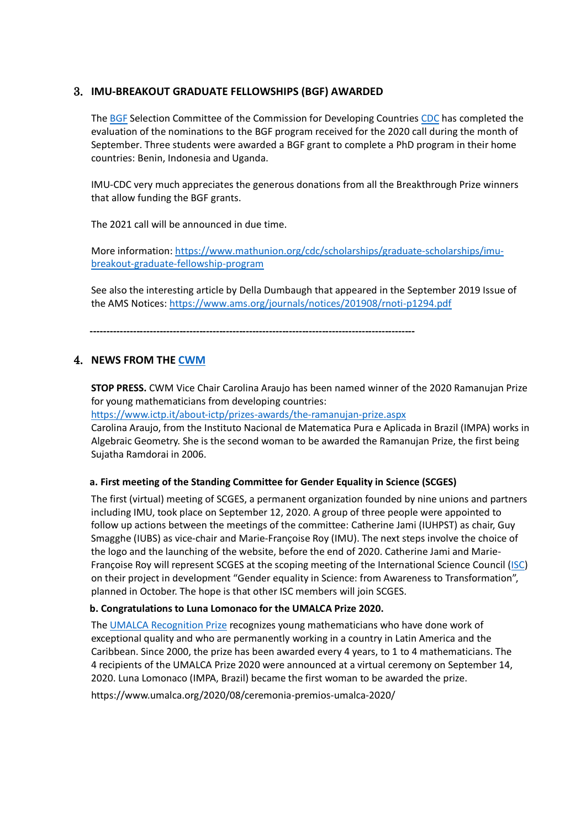### 3. **IMU-BREAKOUT GRADUATE FELLOWSHIPS (BGF) AWARDED**

The [BGF](https://www.mathunion.org/cdc/scholarships/graduate-scholarships/imu-breakout-graduate-fellowship-program) Selection Committee of the Commission for Developing Countries [CDC](https://www.mathunion.org/cdc/) has completed the evaluation of the nominations to the BGF program received for the 2020 call during the month of September. Three students were awarded a BGF grant to complete a PhD program in their home countries: Benin, Indonesia and Uganda.

IMU-CDC very much appreciates the generous donations from all the Breakthrough Prize winners that allow funding the BGF grants.

The 2021 call will be announced in due time.

More information: [https://www.mathunion.org/cdc/scholarships/graduate-scholarships/imu](https://www.mathunion.org/cdc/scholarships/graduate-scholarships/imu-breakout-graduate-fellowship-program)[breakout-graduate-fellowship-program](https://www.mathunion.org/cdc/scholarships/graduate-scholarships/imu-breakout-graduate-fellowship-program)

See also the interesting article by Della Dumbaugh that appeared in the September 2019 Issue of the AMS Notices: <https://www.ams.org/journals/notices/201908/rnoti-p1294.pdf>

 **--------------------------------------------------------------------------------------------------**

## 4. **NEWS FROM THE [CWM](https://www.mathunion.org/cwm)**

**STOP PRESS.** CWM Vice Chair Carolina Araujo has been named winner of the 2020 Ramanujan Prize for young mathematicians from developing countries:

<https://www.ictp.it/about-ictp/prizes-awards/the-ramanujan-prize.aspx>

Carolina Araujo, from the Instituto Nacional de Matematica Pura e Aplicada in Brazil (IMPA) works in Algebraic Geometry. She is the second woman to be awarded the Ramanujan Prize, the first being Sujatha Ramdorai in 2006.

#### **a. First meeting of the Standing Committee for Gender Equality in Science (SCGES)**

The first (virtual) meeting of SCGES, a permanent organization founded by nine unions and partners including IMU, took place on September 12, 2020. A group of three people were appointed to follow up actions between the meetings of the committee: Catherine Jami (IUHPST) as chair, Guy Smagghe (IUBS) as vice-chair and Marie-Françoise Roy (IMU). The next steps involve the choice of the logo and the launching of the website, before the end of 2020. Catherine Jami and Marie-Françoise Roy will represent SCGES at the scoping meeting of the International Science Council [\(ISC\)](https://council.science/) on their project in development "Gender equality in Science: from Awareness to Transformation", planned in October. The hope is that other ISC members will join SCGES.

#### **b. Congratulations to Luna Lomonaco for the UMALCA Prize 2020.**

The [UMALCA Recognition Prize](https://www.umalca.org/eventos/premio-reconocimiento-umalca/) recognizes young mathematicians who have done work of exceptional quality and who are permanently working in a country in Latin America and the Caribbean. Since 2000, the prize has been awarded every 4 years, to 1 to 4 mathematicians. The 4 recipients of the UMALCA Prize 2020 were announced at a virtual ceremony on September 14, 2020. Luna Lomonaco (IMPA, Brazil) became the first woman to be awarded the prize.

<https://www.umalca.org/2020/08/ceremonia-premios-umalca-2020/>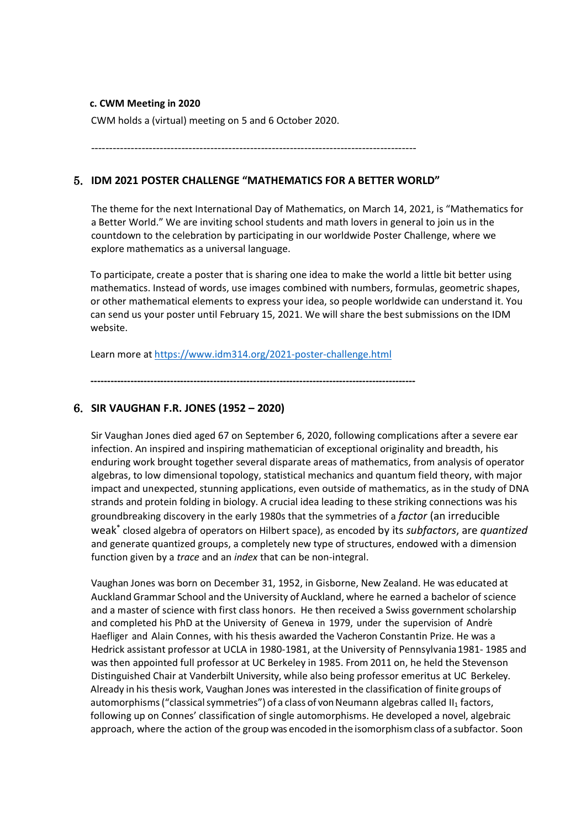#### **c. CWM Meeting in 2020**

CWM holds a (virtual) meeting on 5 and 6 October 2020.

------------------------------------------------------------------------------------------

## 5. **IDM 2021 POSTER CHALLENGE "MATHEMATICS FOR A BETTER WORLD"**

The theme for the next International Day of Mathematics, on March 14, 2021, is "Mathematics for a Better World." We are inviting school students and math lovers in general to join us in the countdown to the celebration by participating in our worldwide Poster Challenge, where we explore mathematics as a universal language.

To participate, create a poster that is sharing one idea to make the world a little bit better using mathematics. Instead of words, use images combined with numbers, formulas, geometric shapes, or other mathematical elements to express your idea, so people worldwide can understand it. You can send us your poster until February 15, 2021. We will share the best submissions on the IDM website.

Learn more at <https://www.idm314.org/2021-poster-challenge.html>

**--------------------------------------------------------------------------------------------------**

### 6. **SIR VAUGHAN F.R. JONES (1952 – 2020)**

Sir Vaughan Jones died aged 67 on September 6, 2020, following complications after a severe ear infection. An inspired and inspiring mathematician of exceptional originality and breadth, his enduring work brought together several disparate areas of mathematics, from analysis of operator algebras, to low dimensional topology, statistical mechanics and quantum field theory, with major impact and unexpected, stunning applications, even outside of mathematics, as in the study of DNA strands and protein folding in biology. A crucial idea leading to these striking connections was his groundbreaking discovery in the early 1980s that the symmetries of a *factor* (an irreducible weak\* closed algebra of operators on Hilbert space), as encoded by its *subfactors*, are *quantized* and generate quantized groups, a completely new type of structures, endowed with a dimension function given by a *trace* and an *index* that can be non-integral.

Vaughan Jones was born on December 31, 1952, in Gisborne, New Zealand. He was educated at Auckland Grammar School and the University of Auckland, where he earned a bachelor of science and a master of science with first class honors. He then received a Swiss government scholarship and completed his PhD at the University of Geneva in 1979, under the supervision of André Haefliger and Alain Connes, with his thesis awarded the Vacheron Constantin Prize. He was a Hedrick assistant professor at UCLA in 1980-1981, at the University of Pennsylvania1981- 1985 and was then appointed full professor at UC Berkeley in 1985. From 2011 on, he held the Stevenson Distinguished Chair at Vanderbilt University, while also being professor emeritus at UC Berkeley. Already in his thesis work, Vaughan Jones was interested in the classification of finite groups of automorphisms ("classical symmetries") of a class of von Neumann algebras called II<sub>1</sub> factors, following up on Connes' classification of single automorphisms. He developed a novel, algebraic approach, where the action of the group was encoded in the isomorphismclass of a subfactor. Soon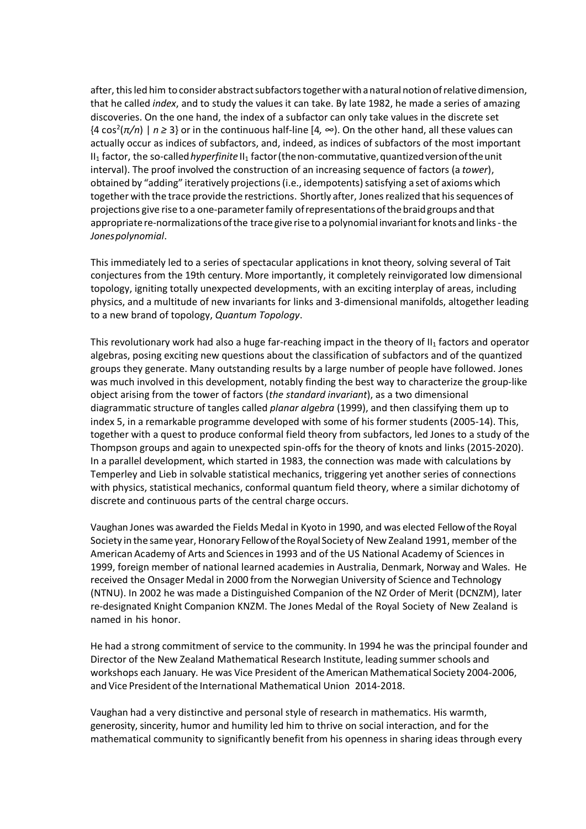after, this led him to consider abstract subfactors together with a natural notion of relative dimension, that he called *index*, and to study the values it can take. By late 1982, he made a series of amazing discoveries. On the one hand, the index of a subfactor can only take values in the discrete set {4 cos2 (*π/n*) | *n ≥* 3} or in the continuous half-line [4*, ∞*). On the other hand, all these values can actually occur as indices of subfactors, and, indeed, as indices of subfactors of the most important II<sub>1</sub> factor, the so-called *hyperfinite* II<sub>1</sub> factor (the non-commutative, quantized version of the unit interval). The proof involved the construction of an increasing sequence of factors (a *tower*), obtained by "adding" iteratively projections (i.e., idempotents) satisfying a set of axioms which together with the trace provide the restrictions. Shortly after, Jones realized that his sequences of projections give rise to a one-parameterfamily ofrepresentationsofthebraidgroups andthat appropriate re-normalizations of the trace give rise to a polynomial invariant for knots and links - the *Jonespolynomial*.

This immediately led to a series of spectacular applications in knot theory, solving several of Tait conjectures from the 19th century. More importantly, it completely reinvigorated low dimensional topology, igniting totally unexpected developments, with an exciting interplay of areas, including physics, and a multitude of new invariants for links and 3-dimensional manifolds, altogether leading to a new brand of topology, *Quantum Topology*.

This revolutionary work had also a huge far-reaching impact in the theory of  $II_1$  factors and operator algebras, posing exciting new questions about the classification of subfactors and of the quantized groups they generate. Many outstanding results by a large number of people have followed. Jones was much involved in this development, notably finding the best way to characterize the group-like object arising from the tower of factors (*the standard invariant*), as a two dimensional diagrammatic structure of tangles called *planar algebra* (1999), and then classifying them up to index 5, in a remarkable programme developed with some of his former students (2005-14). This, together with a quest to produce conformal field theory from subfactors, led Jones to a study of the Thompson groups and again to unexpected spin-offs for the theory of knots and links (2015-2020). In a parallel development, which started in 1983, the connection was made with calculations by Temperley and Lieb in solvable statistical mechanics, triggering yet another series of connections with physics, statistical mechanics, conformal quantum field theory, where a similar dichotomy of discrete and continuous parts of the central charge occurs.

Vaughan Jones was awarded the Fields Medal in Kyoto in 1990, and was elected Fellowofthe Royal Society inthe same year, Honorary FellowoftheRoyal Society of New Zealand 1991, member of the American Academy of Arts and Sciencesin 1993 and of the US National Academy of Sciences in 1999, foreign member of national learned academies in Australia, Denmark, Norway and Wales. He received the Onsager Medal in 2000 from the Norwegian University of Science and Technology (NTNU). In 2002 he was made a Distinguished Companion of the NZ Order of Merit (DCNZM), later re-designated Knight Companion KNZM. The Jones Medal of the Royal Society of New Zealand is named in his honor.

He had a strong commitment of service to the community. In 1994 he was the principal founder and Director of the New Zealand Mathematical Research Institute, leading summer schools and workshops each January. He was Vice President of the American Mathematical Society 2004-2006, and Vice President of the International Mathematical Union 2014-2018.

Vaughan had a very distinctive and personal style of research in mathematics. His warmth, generosity, sincerity, humor and humility led him to thrive on social interaction, and for the mathematical community to significantly benefit from his openness in sharing ideas through every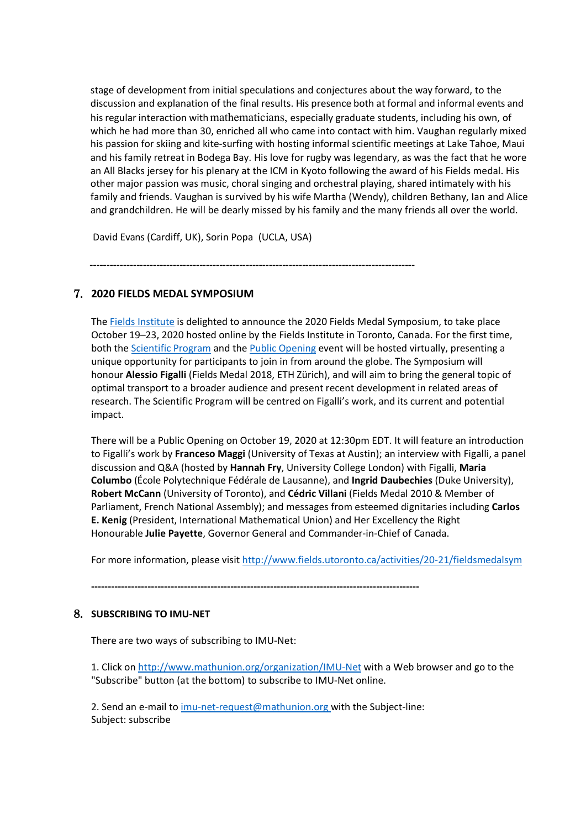stage of development from initial speculations and conjectures about the way forward, to the discussion and explanation of the final results. His presence both at formal and informal events and his regular interaction with mathematicians, especially graduate students, including his own, of which he had more than 30, enriched all who came into contact with him. Vaughan regularly mixed his passion for skiing and kite-surfing with hosting informal scientific meetings at Lake Tahoe, Maui and his family retreat in Bodega Bay. His love for rugby was legendary, as was the fact that he wore an All Blacks jersey for his plenary at the ICM in Kyoto following the award of his Fields medal. His other major passion was music, choral singing and orchestral playing, shared intimately with his family and friends. Vaughan is survived by his wife Martha (Wendy), children Bethany, Ian and Alice and grandchildren. He will be dearly missed by his family and the many friends all over the world.

David Evans (Cardiff, UK), Sorin Popa (UCLA, USA)

 **--------------------------------------------------------------------------------------------------**

## 7. **2020 FIELDS MEDAL SYMPOSIUM**

The [Fields Institute](http://www.fields.utoronto.ca/) is delighted to announce the 2020 Fields Medal Symposium, to take place October 19–23, 2020 hosted online by the Fields Institute in Toronto, Canada. For the first time, both the [Scientific Program](http://www.fields.utoronto.ca/activities/20-21/fieldsmedalsym) and the [Public Opening](http://www.fields.utoronto.ca/activities/20-21/fieldsmedalsym-opening) event will be hosted virtually, presenting a unique opportunity for participants to join in from around the globe. The Symposium will honour **Alessio Figalli** (Fields Medal 2018, ETH Zürich), and will aim to bring the general topic of optimal transport to a broader audience and present recent development in related areas of research. The Scientific Program will be centred on Figalli's work, and its current and potential impact.

There will be a Public Opening on October 19, 2020 at 12:30pm EDT. It will feature an introduction to Figalli's work by **Franceso Maggi** (University of Texas at Austin); an interview with Figalli, a panel discussion and Q&A (hosted by **Hannah Fry**, University College London) with Figalli, **Maria Columbo** (École Polytechnique Fédérale de Lausanne), and **Ingrid Daubechies** (Duke University), **Robert McCann** (University of Toronto), and **Cédric Villani** (Fields Medal 2010 & Member of Parliament, French National Assembly); and messages from esteemed dignitaries including **Carlos E. Kenig** (President, International Mathematical Union) and Her Excellency the Right Honourable **Julie Payette**, Governor General and Commander-in-Chief of Canada.

For more information, please visit <http://www.fields.utoronto.ca/activities/20-21/fieldsmedalsym>

**---------------------------------------------------------------------------------------------------**

# 8. **SUBSCRIBING TO IMU-NET**

There are two ways of subscribing to IMU-Net:

1. Click on<http://www.mathunion.org/organization/IMU-Net> with a Web browser and go to the "Subscribe" button (at the bottom) to subscribe to IMU-Net online.

2. Send an e-mail to [imu-net-request@mathunion.org](mailto:imu-net-request@mathunion.org) with the Subject-line: Subject: subscribe